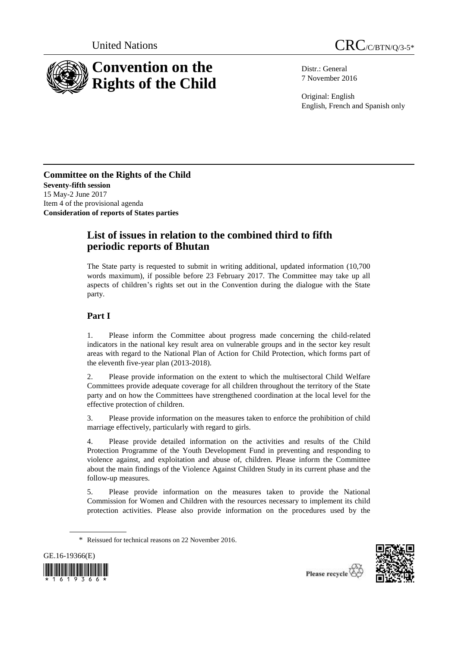



Distr.: General 7 November 2016

Original: English English, French and Spanish only

**Committee on the Rights of the Child Seventy-fifth session** 15 May-2 June 2017 Item 4 of the provisional agenda **Consideration of reports of States parties**

# **List of issues in relation to the combined third to fifth periodic reports of Bhutan**

The State party is requested to submit in writing additional, updated information (10,700 words maximum), if possible before 23 February 2017. The Committee may take up all aspects of children's rights set out in the Convention during the dialogue with the State party.

## **Part I**

1. Please inform the Committee about progress made concerning the child-related indicators in the national key result area on vulnerable groups and in the sector key result areas with regard to the National Plan of Action for Child Protection, which forms part of the eleventh five-year plan (2013-2018).

2. Please provide information on the extent to which the multisectoral Child Welfare Committees provide adequate coverage for all children throughout the territory of the State party and on how the Committees have strengthened coordination at the local level for the effective protection of children.

3. Please provide information on the measures taken to enforce the prohibition of child marriage effectively, particularly with regard to girls.

4. Please provide detailed information on the activities and results of the Child Protection Programme of the Youth Development Fund in preventing and responding to violence against, and exploitation and abuse of, children. Please inform the Committee about the main findings of the Violence Against Children Study in its current phase and the follow-up measures.

5. Please provide information on the measures taken to provide the National Commission for Women and Children with the resources necessary to implement its child protection activities. Please also provide information on the procedures used by the

<sup>\*</sup> Reissued for technical reasons on 22 November 2016.



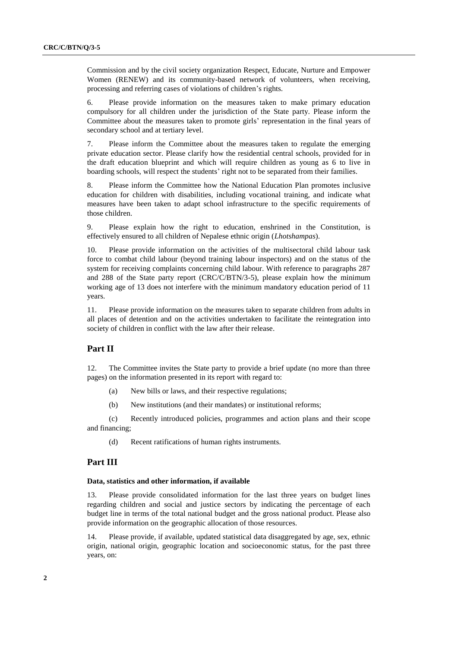Commission and by the civil society organization Respect, Educate, Nurture and Empower Women (RENEW) and its community-based network of volunteers, when receiving, processing and referring cases of violations of children's rights.

6. Please provide information on the measures taken to make primary education compulsory for all children under the jurisdiction of the State party. Please inform the Committee about the measures taken to promote girls' representation in the final years of secondary school and at tertiary level.

7. Please inform the Committee about the measures taken to regulate the emerging private education sector. Please clarify how the residential central schools, provided for in the draft education blueprint and which will require children as young as 6 to live in boarding schools, will respect the students' right not to be separated from their families.

8. Please inform the Committee how the National Education Plan promotes inclusive education for children with disabilities, including vocational training, and indicate what measures have been taken to adapt school infrastructure to the specific requirements of those children.

9. Please explain how the right to education, enshrined in the Constitution, is effectively ensured to all children of Nepalese ethnic origin (*Lhotshampas*).

10. Please provide information on the activities of the multisectoral child labour task force to combat child labour (beyond training labour inspectors) and on the status of the system for receiving complaints concerning child labour. With reference to paragraphs 287 and 288 of the State party report (CRC/C/BTN/3-5), please explain how the minimum working age of 13 does not interfere with the minimum mandatory education period of 11 years.

11. Please provide information on the measures taken to separate children from adults in all places of detention and on the activities undertaken to facilitate the reintegration into society of children in conflict with the law after their release.

### **Part II**

12. The Committee invites the State party to provide a brief update (no more than three pages) on the information presented in its report with regard to:

- (a) New bills or laws, and their respective regulations;
- (b) New institutions (and their mandates) or institutional reforms;

(c) Recently introduced policies, programmes and action plans and their scope and financing;

(d) Recent ratifications of human rights instruments.

#### **Part III**

#### **Data, statistics and other information, if available**

13. Please provide consolidated information for the last three years on budget lines regarding children and social and justice sectors by indicating the percentage of each budget line in terms of the total national budget and the gross national product. Please also provide information on the geographic allocation of those resources.

14. Please provide, if available, updated statistical data disaggregated by age, sex, ethnic origin, national origin, geographic location and socioeconomic status, for the past three years, on: